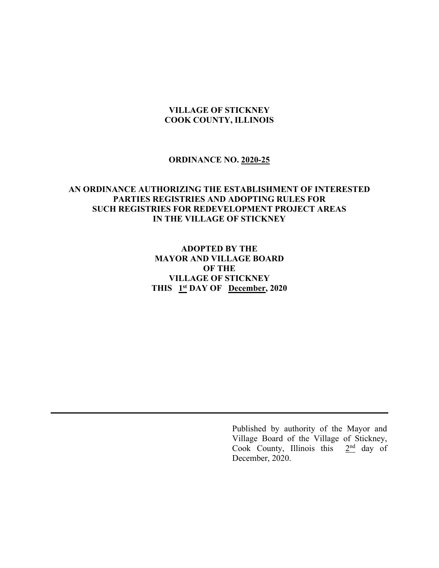#### **VILLAGE OF STICKNEY COOK COUNTY, ILLINOIS**

#### **ORDINANCE NO. 2020-25**

# **AN ORDINANCE AUTHORIZING THE ESTABLISHMENT OF INTERESTED PARTIES REGISTRIES AND ADOPTING RULES FOR SUCH REGISTRIES FOR REDEVELOPMENT PROJECT AREAS IN THE VILLAGE OF STICKNEY**

**ADOPTED BY THE MAYOR AND VILLAGE BOARD OF THE VILLAGE OF STICKNEY** THIS **1st** DAY OF **December**, 2020

> Published by authority of the Mayor and Village Board of the Village of Stickney, Cook County, Illinois this  $2<sup>nd</sup>$  day of December, 2020.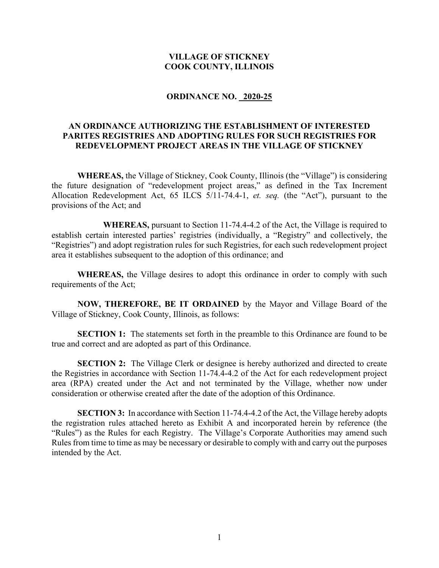#### **VILLAGE OF STICKNEY COOK COUNTY, ILLINOIS**

#### **ORDINANCE NO. 2020-25**

# **AN ORDINANCE AUTHORIZING THE ESTABLISHMENT OF INTERESTED PARITES REGISTRIES AND ADOPTING RULES FOR SUCH REGISTRIES FOR REDEVELOPMENT PROJECT AREAS IN THE VILLAGE OF STICKNEY**

**WHEREAS,** the Village of Stickney, Cook County, Illinois (the "Village") is considering the future designation of "redevelopment project areas," as defined in the Tax Increment Allocation Redevelopment Act, 65 ILCS 5/11-74.4-1, *et. seq.* (the "Act"), pursuant to the provisions of the Act; and

**WHEREAS,** pursuant to Section 11-74.4-4.2 of the Act, the Village is required to establish certain interested parties' registries (individually, a "Registry" and collectively, the "Registries") and adopt registration rules for such Registries, for each such redevelopment project area it establishes subsequent to the adoption of this ordinance; and

**WHEREAS,** the Village desires to adopt this ordinance in order to comply with such requirements of the Act;

**NOW, THEREFORE, BE IT ORDAINED** by the Mayor and Village Board of the Village of Stickney, Cook County, Illinois, as follows:

**SECTION 1:** The statements set forth in the preamble to this Ordinance are found to be true and correct and are adopted as part of this Ordinance.

**SECTION 2:** The Village Clerk or designee is hereby authorized and directed to create the Registries in accordance with Section 11-74.4-4.2 of the Act for each redevelopment project area (RPA) created under the Act and not terminated by the Village, whether now under consideration or otherwise created after the date of the adoption of this Ordinance.

**SECTION 3:** In accordance with Section 11-74.4-4.2 of the Act, the Village hereby adopts the registration rules attached hereto as Exhibit A and incorporated herein by reference (the "Rules") as the Rules for each Registry. The Village's Corporate Authorities may amend such Rules from time to time as may be necessary or desirable to comply with and carry out the purposes intended by the Act.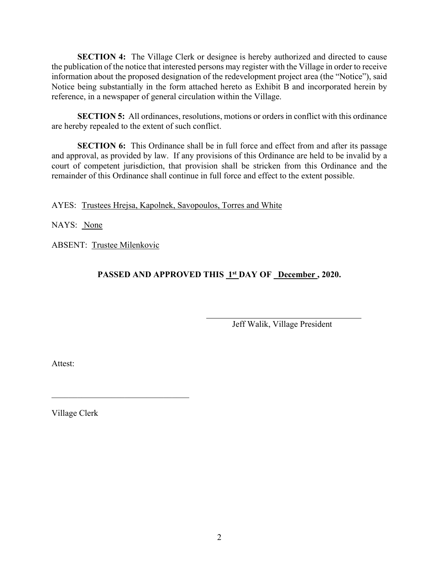**SECTION 4:** The Village Clerk or designee is hereby authorized and directed to cause the publication of the notice that interested persons may register with the Village in order to receive information about the proposed designation of the redevelopment project area (the "Notice"), said Notice being substantially in the form attached hereto as Exhibit B and incorporated herein by reference, in a newspaper of general circulation within the Village.

**SECTION 5:** All ordinances, resolutions, motions or orders in conflict with this ordinance are hereby repealed to the extent of such conflict.

**SECTION 6:** This Ordinance shall be in full force and effect from and after its passage and approval, as provided by law. If any provisions of this Ordinance are held to be invalid by a court of competent jurisdiction, that provision shall be stricken from this Ordinance and the remainder of this Ordinance shall continue in full force and effect to the extent possible.

AYES: Trustees Hrejsa, Kapolnek, Savopoulos, Torres and White

NAYS: None

ABSENT: Trustee Milenkovic

 $\mathcal{L}_\text{max}$  , which is a set of the set of the set of the set of the set of the set of the set of the set of the set of the set of the set of the set of the set of the set of the set of the set of the set of the set of

PASSED AND APPROVED THIS 1st DAY OF December, 2020.

Jeff Walik, Village President

Attest:

Village Clerk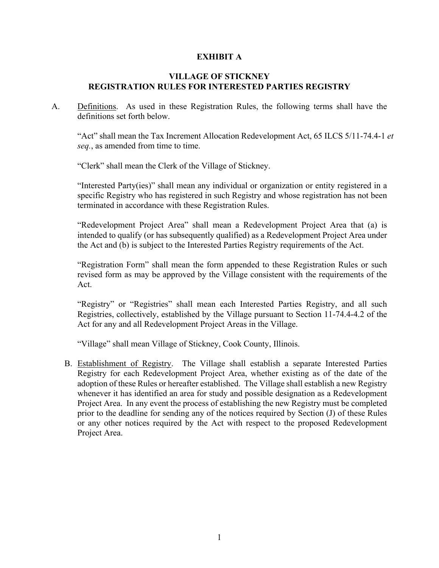## **EXHIBIT A**

## **VILLAGE OF STICKNEY REGISTRATION RULES FOR INTERESTED PARTIES REGISTRY**

A. Definitions. As used in these Registration Rules, the following terms shall have the definitions set forth below.

"Act" shall mean the Tax Increment Allocation Redevelopment Act, 65 ILCS 5/11-74.4-1 *et seq.*, as amended from time to time.

"Clerk" shall mean the Clerk of the Village of Stickney.

"Interested Party(ies)" shall mean any individual or organization or entity registered in a specific Registry who has registered in such Registry and whose registration has not been terminated in accordance with these Registration Rules.

"Redevelopment Project Area" shall mean a Redevelopment Project Area that (a) is intended to qualify (or has subsequently qualified) as a Redevelopment Project Area under the Act and (b) is subject to the Interested Parties Registry requirements of the Act.

"Registration Form" shall mean the form appended to these Registration Rules or such revised form as may be approved by the Village consistent with the requirements of the Act.

"Registry" or "Registries" shall mean each Interested Parties Registry, and all such Registries, collectively, established by the Village pursuant to Section 11-74.4-4.2 of the Act for any and all Redevelopment Project Areas in the Village.

"Village" shall mean Village of Stickney, Cook County, Illinois.

B. Establishment of Registry. The Village shall establish a separate Interested Parties Registry for each Redevelopment Project Area, whether existing as of the date of the adoption of these Rules or hereafter established. The Village shall establish a new Registry whenever it has identified an area for study and possible designation as a Redevelopment Project Area. In any event the process of establishing the new Registry must be completed prior to the deadline for sending any of the notices required by Section (J) of these Rules or any other notices required by the Act with respect to the proposed Redevelopment Project Area.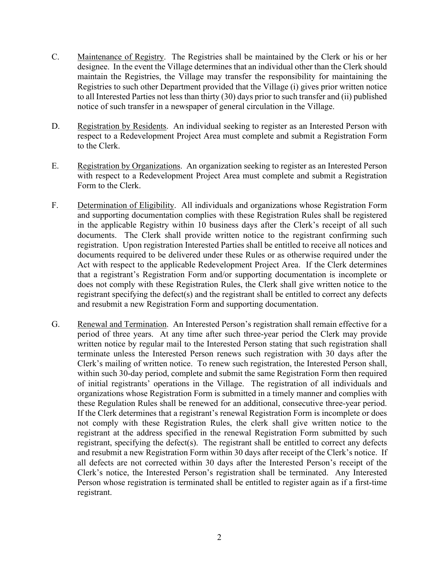- C. Maintenance of Registry. The Registries shall be maintained by the Clerk or his or her designee. In the event the Village determines that an individual other than the Clerk should maintain the Registries, the Village may transfer the responsibility for maintaining the Registries to such other Department provided that the Village (i) gives prior written notice to all Interested Parties not less than thirty (30) days prior to such transfer and (ii) published notice of such transfer in a newspaper of general circulation in the Village.
- D. Registration by Residents. An individual seeking to register as an Interested Person with respect to a Redevelopment Project Area must complete and submit a Registration Form to the Clerk.
- E. Registration by Organizations. An organization seeking to register as an Interested Person with respect to a Redevelopment Project Area must complete and submit a Registration Form to the Clerk.
- F. Determination of Eligibility. All individuals and organizations whose Registration Form and supporting documentation complies with these Registration Rules shall be registered in the applicable Registry within 10 business days after the Clerk's receipt of all such documents. The Clerk shall provide written notice to the registrant confirming such registration. Upon registration Interested Parties shall be entitled to receive all notices and documents required to be delivered under these Rules or as otherwise required under the Act with respect to the applicable Redevelopment Project Area. If the Clerk determines that a registrant's Registration Form and/or supporting documentation is incomplete or does not comply with these Registration Rules, the Clerk shall give written notice to the registrant specifying the defect(s) and the registrant shall be entitled to correct any defects and resubmit a new Registration Form and supporting documentation.
- G. Renewal and Termination. An Interested Person's registration shall remain effective for a period of three years. At any time after such three-year period the Clerk may provide written notice by regular mail to the Interested Person stating that such registration shall terminate unless the Interested Person renews such registration with 30 days after the Clerk's mailing of written notice. To renew such registration, the Interested Person shall, within such 30-day period, complete and submit the same Registration Form then required of initial registrants' operations in the Village. The registration of all individuals and organizations whose Registration Form is submitted in a timely manner and complies with these Regulation Rules shall be renewed for an additional, consecutive three-year period. If the Clerk determines that a registrant's renewal Registration Form is incomplete or does not comply with these Registration Rules, the clerk shall give written notice to the registrant at the address specified in the renewal Registration Form submitted by such registrant, specifying the defect(s). The registrant shall be entitled to correct any defects and resubmit a new Registration Form within 30 days after receipt of the Clerk's notice. If all defects are not corrected within 30 days after the Interested Person's receipt of the Clerk's notice, the Interested Person's registration shall be terminated. Any Interested Person whose registration is terminated shall be entitled to register again as if a first-time registrant.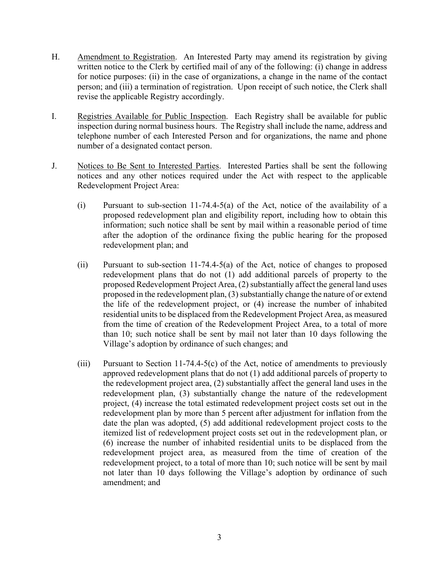- H. Amendment to Registration. An Interested Party may amend its registration by giving written notice to the Clerk by certified mail of any of the following: (i) change in address for notice purposes: (ii) in the case of organizations, a change in the name of the contact person; and (iii) a termination of registration. Upon receipt of such notice, the Clerk shall revise the applicable Registry accordingly.
- I. Registries Available for Public Inspection. Each Registry shall be available for public inspection during normal business hours. The Registry shall include the name, address and telephone number of each Interested Person and for organizations, the name and phone number of a designated contact person.
- J. Notices to Be Sent to Interested Parties. Interested Parties shall be sent the following notices and any other notices required under the Act with respect to the applicable Redevelopment Project Area:
	- (i) Pursuant to sub-section 11-74.4-5(a) of the Act, notice of the availability of a proposed redevelopment plan and eligibility report, including how to obtain this information; such notice shall be sent by mail within a reasonable period of time after the adoption of the ordinance fixing the public hearing for the proposed redevelopment plan; and
	- (ii) Pursuant to sub-section 11-74.4-5(a) of the Act, notice of changes to proposed redevelopment plans that do not (1) add additional parcels of property to the proposed Redevelopment Project Area, (2) substantially affect the general land uses proposed in the redevelopment plan, (3) substantially change the nature of or extend the life of the redevelopment project, or (4) increase the number of inhabited residential units to be displaced from the Redevelopment Project Area, as measured from the time of creation of the Redevelopment Project Area, to a total of more than 10; such notice shall be sent by mail not later than 10 days following the Village's adoption by ordinance of such changes; and
	- (iii) Pursuant to Section 11-74.4-5(c) of the Act, notice of amendments to previously approved redevelopment plans that do not (1) add additional parcels of property to the redevelopment project area, (2) substantially affect the general land uses in the redevelopment plan, (3) substantially change the nature of the redevelopment project, (4) increase the total estimated redevelopment project costs set out in the redevelopment plan by more than 5 percent after adjustment for inflation from the date the plan was adopted, (5) add additional redevelopment project costs to the itemized list of redevelopment project costs set out in the redevelopment plan, or (6) increase the number of inhabited residential units to be displaced from the redevelopment project area, as measured from the time of creation of the redevelopment project, to a total of more than 10; such notice will be sent by mail not later than 10 days following the Village's adoption by ordinance of such amendment; and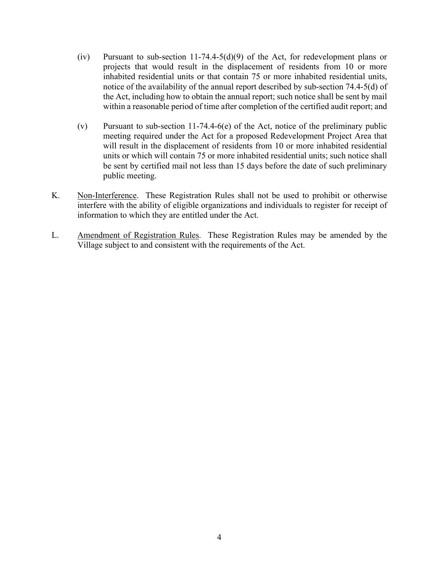- (iv) Pursuant to sub-section 11-74.4-5(d)(9) of the Act, for redevelopment plans or projects that would result in the displacement of residents from 10 or more inhabited residential units or that contain 75 or more inhabited residential units, notice of the availability of the annual report described by sub-section 74.4-5(d) of the Act, including how to obtain the annual report; such notice shall be sent by mail within a reasonable period of time after completion of the certified audit report; and
- (v) Pursuant to sub-section 11-74.4-6(e) of the Act, notice of the preliminary public meeting required under the Act for a proposed Redevelopment Project Area that will result in the displacement of residents from 10 or more inhabited residential units or which will contain 75 or more inhabited residential units; such notice shall be sent by certified mail not less than 15 days before the date of such preliminary public meeting.
- K. Non-Interference. These Registration Rules shall not be used to prohibit or otherwise interfere with the ability of eligible organizations and individuals to register for receipt of information to which they are entitled under the Act.
- L. Amendment of Registration Rules. These Registration Rules may be amended by the Village subject to and consistent with the requirements of the Act.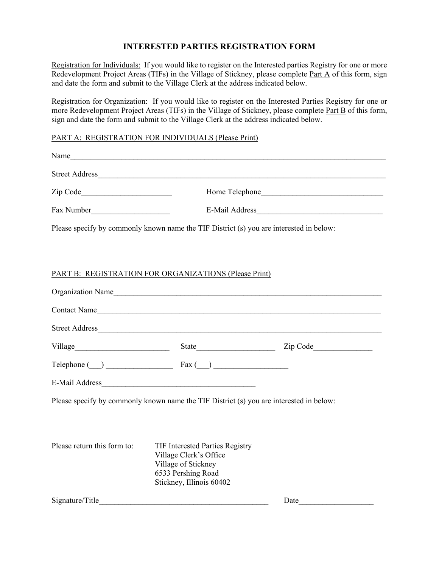# **INTERESTED PARTIES REGISTRATION FORM**

Registration for Individuals: If you would like to register on the Interested parties Registry for one or more Redevelopment Project Areas (TIFs) in the Village of Stickney, please complete Part A of this form, sign and date the form and submit to the Village Clerk at the address indicated below.

Registration for Organization: If you would like to register on the Interested Parties Registry for one or more Redevelopment Project Areas (TIFs) in the Village of Stickney, please complete Part B of this form, sign and date the form and submit to the Village Clerk at the address indicated below.

#### PART A: REGISTRATION FOR INDIVIDUALS (Please Print)

|                                                                                                                                                                                                                                                                                                                                                |                                                                                                                                           | Name                         |  |
|------------------------------------------------------------------------------------------------------------------------------------------------------------------------------------------------------------------------------------------------------------------------------------------------------------------------------------------------|-------------------------------------------------------------------------------------------------------------------------------------------|------------------------------|--|
|                                                                                                                                                                                                                                                                                                                                                |                                                                                                                                           |                              |  |
|                                                                                                                                                                                                                                                                                                                                                |                                                                                                                                           |                              |  |
|                                                                                                                                                                                                                                                                                                                                                |                                                                                                                                           |                              |  |
| Please specify by commonly known name the TIF District (s) you are interested in below:                                                                                                                                                                                                                                                        |                                                                                                                                           |                              |  |
|                                                                                                                                                                                                                                                                                                                                                |                                                                                                                                           |                              |  |
| PART B: REGISTRATION FOR ORGANIZATIONS (Please Print)                                                                                                                                                                                                                                                                                          |                                                                                                                                           |                              |  |
|                                                                                                                                                                                                                                                                                                                                                |                                                                                                                                           | Organization Name            |  |
|                                                                                                                                                                                                                                                                                                                                                |                                                                                                                                           | Contact Name                 |  |
|                                                                                                                                                                                                                                                                                                                                                |                                                                                                                                           |                              |  |
|                                                                                                                                                                                                                                                                                                                                                |                                                                                                                                           | Village State State Zip Code |  |
| $\text{Telephone}$ $\qquad)$ $\qquad$ $\qquad$ $\qquad$ $\qquad$ $\qquad$ $\qquad$ $\qquad$ $\qquad$ $\qquad$ $\qquad$ $\qquad$ $\qquad$ $\qquad$ $\qquad$ $\qquad$ $\qquad$ $\qquad$ $\qquad$ $\qquad$ $\qquad$ $\qquad$ $\qquad$ $\qquad$ $\qquad$ $\qquad$ $\qquad$ $\qquad$ $\qquad$ $\qquad$ $\qquad$ $\qquad$ $\qquad$ $\qquad$ $\qquad$ |                                                                                                                                           |                              |  |
|                                                                                                                                                                                                                                                                                                                                                |                                                                                                                                           |                              |  |
| Please specify by commonly known name the TIF District (s) you are interested in below:                                                                                                                                                                                                                                                        |                                                                                                                                           |                              |  |
|                                                                                                                                                                                                                                                                                                                                                |                                                                                                                                           |                              |  |
| Please return this form to:                                                                                                                                                                                                                                                                                                                    | <b>TIF Interested Parties Registry</b><br>Village Clerk's Office<br>Village of Stickney<br>6533 Pershing Road<br>Stickney, Illinois 60402 |                              |  |

Signature/Title **Date**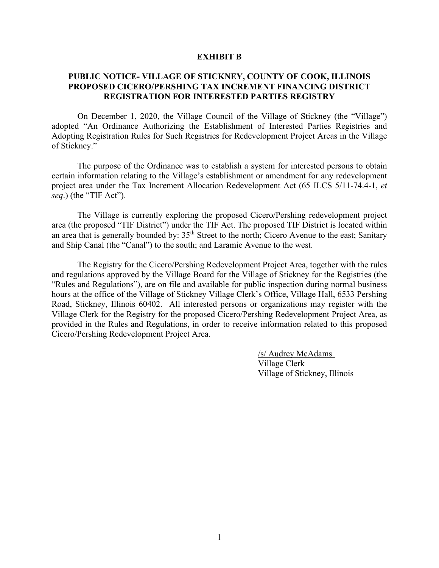#### **EXHIBIT B**

## **PUBLIC NOTICE- VILLAGE OF STICKNEY, COUNTY OF COOK, ILLINOIS PROPOSED CICERO/PERSHING TAX INCREMENT FINANCING DISTRICT REGISTRATION FOR INTERESTED PARTIES REGISTRY**

On December 1, 2020, the Village Council of the Village of Stickney (the "Village") adopted "An Ordinance Authorizing the Establishment of Interested Parties Registries and Adopting Registration Rules for Such Registries for Redevelopment Project Areas in the Village of Stickney."

The purpose of the Ordinance was to establish a system for interested persons to obtain certain information relating to the Village's establishment or amendment for any redevelopment project area under the Tax Increment Allocation Redevelopment Act (65 ILCS 5/11-74.4-1, *et seq*.) (the "TIF Act").

The Village is currently exploring the proposed Cicero/Pershing redevelopment project area (the proposed "TIF District") under the TIF Act. The proposed TIF District is located within an area that is generally bounded by: 35<sup>th</sup> Street to the north; Cicero Avenue to the east; Sanitary and Ship Canal (the "Canal") to the south; and Laramie Avenue to the west.

The Registry for the Cicero/Pershing Redevelopment Project Area, together with the rules and regulations approved by the Village Board for the Village of Stickney for the Registries (the "Rules and Regulations"), are on file and available for public inspection during normal business hours at the office of the Village of Stickney Village Clerk's Office, Village Hall, 6533 Pershing Road, Stickney, Illinois 60402. All interested persons or organizations may register with the Village Clerk for the Registry for the proposed Cicero/Pershing Redevelopment Project Area, as provided in the Rules and Regulations, in order to receive information related to this proposed Cicero/Pershing Redevelopment Project Area.

> /s/ Audrey McAdams Village Clerk Village of Stickney, Illinois